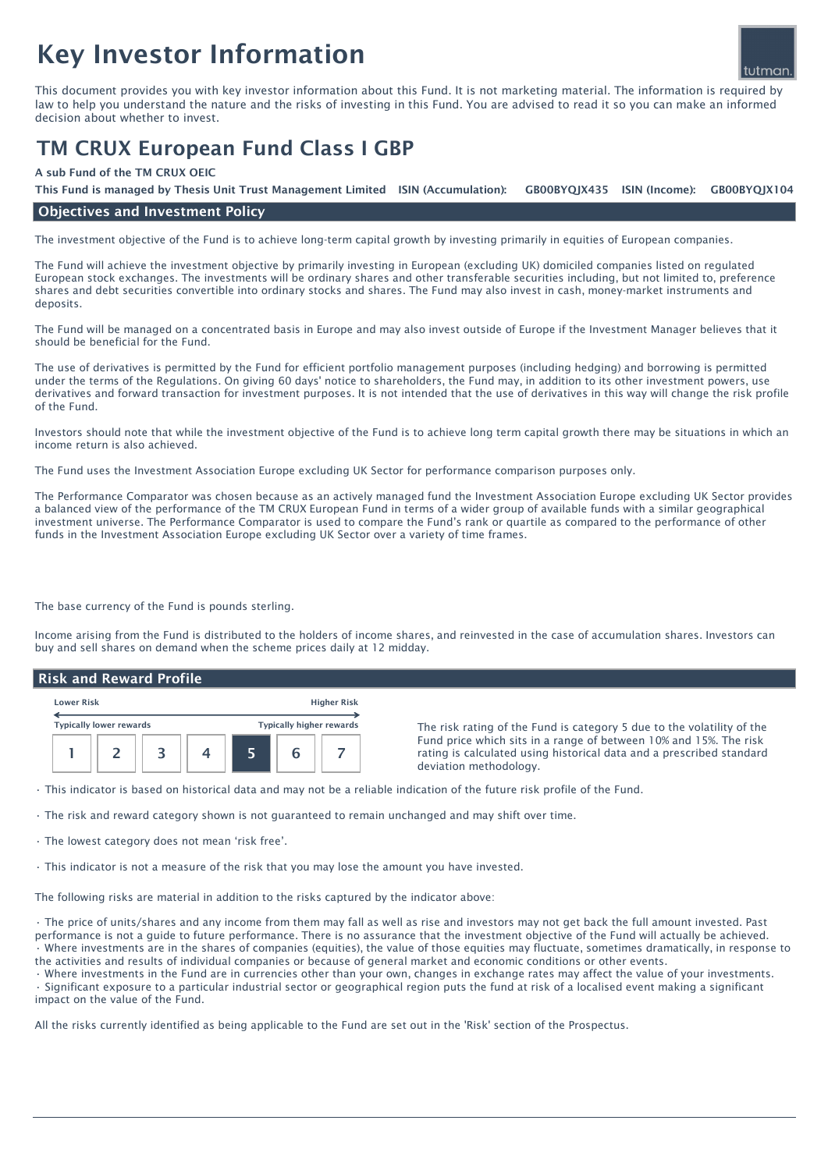# Key Investor Information

This document provides you with key investor information about this Fund. It is not marketing material. The information is required by law to help you understand the nature and the risks of investing in this Fund. You are advised to read it so you can make an informed decision about whether to invest.

# TM CRUX European Fund Class I GBP

#### A sub Fund of the TM CRUX OEIC

GB00BYOIX435 ISIN (Income): This Fund is managed by Thesis Unit Trust Management Limited ISIN (Accumulation): GB00BYQJX435 ISIN (Income): GB00BYQJX104

### Objectives and Investment Policy

The investment objective of the Fund is to achieve long-term capital growth by investing primarily in equities of European companies.

The Fund will achieve the investment objective by primarily investing in European (excluding UK) domiciled companies listed on regulated European stock exchanges. The investments will be ordinary shares and other transferable securities including, but not limited to, preference shares and debt securities convertible into ordinary stocks and shares. The Fund may also invest in cash, money-market instruments and deposits.

The Fund will be managed on a concentrated basis in Europe and may also invest outside of Europe if the Investment Manager believes that it should be beneficial for the Fund.

The use of derivatives is permitted by the Fund for efficient portfolio management purposes (including hedging) and borrowing is permitted under the terms of the Regulations. On giving 60 days' notice to shareholders, the Fund may, in addition to its other investment powers, use derivatives and forward transaction for investment purposes. It is not intended that the use of derivatives in this way will change the risk profile of the Fund.

Investors should note that while the investment objective of the Fund is to achieve long term capital growth there may be situations in which an income return is also achieved.

The Fund uses the Investment Association Europe excluding UK Sector for performance comparison purposes only.

The Performance Comparator was chosen because as an actively managed fund the Investment Association Europe excluding UK Sector provides a balanced view of the performance of the TM CRUX European Fund in terms of a wider group of available funds with a similar geographical investment universe. The Performance Comparator is used to compare the Fund's rank or quartile as compared to the performance of other funds in the Investment Association Europe excluding UK Sector over a variety of time frames.

The base currency of the Fund is pounds sterling.

Income arising from the Fund is distributed to the holders of income shares, and reinvested in the case of accumulation shares. Investors can buy and sell shares on demand when the scheme prices daily at 12 midday.

# Risk and Reward Profile

| <b>Lower Risk</b>              |  |  | <b>Higher Risk</b> |                                 |  |  |
|--------------------------------|--|--|--------------------|---------------------------------|--|--|
| <b>Typically lower rewards</b> |  |  |                    | <b>Typically higher rewards</b> |  |  |
|                                |  |  |                    |                                 |  |  |

The risk rating of the Fund is category 5 due to the volatility of the Fund price which sits in a range of between 10% and 15%. The risk rating is calculated using historical data and a prescribed standard deviation methodology.

• This indicator is based on historical data and may not be a reliable indication of the future risk profile of the Fund.

- The risk and reward category shown is not guaranteed to remain unchanged and may shift over time.
- The lowest category does not mean 'risk free'.
- This indicator is not a measure of the risk that you may lose the amount you have invested.

The following risks are material in addition to the risks captured by the indicator above:

• The price of units/shares and any income from them may fall as well as rise and investors may not get back the full amount invested. Past performance is not a guide to future performance. There is no assurance that the investment objective of the Fund will actually be achieved. • Where investments are in the shares of companies (equities), the value of those equities may fluctuate, sometimes dramatically, in response to the activities and results of individual companies or because of general market and economic conditions or other events.

• Where investments in the Fund are in currencies other than your own, changes in exchange rates may affect the value of your investments. • Significant exposure to a particular industrial sector or geographical region puts the fund at risk of a localised event making a significant impact on the value of the Fund.

All the risks currently identified as being applicable to the Fund are set out in the 'Risk' section of the Prospectus.